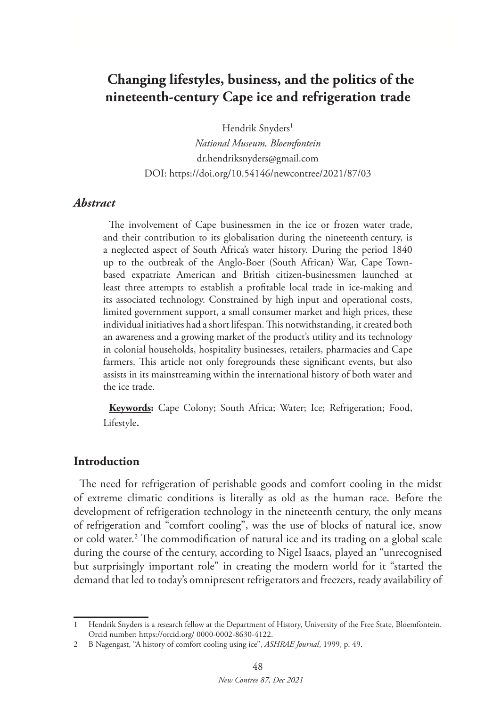# **Changing lifestyles, business, and the politics of the nineteenth-century Cape ice and refrigeration trade**

Hendrik Snyders<sup>1</sup>

*National Museum, Bloemfontein* dr.hendriksnyders@gmail.com DOI: https://doi.org/10.54146/newcontree/2021/87/03

#### *Abstract*

The involvement of Cape businessmen in the ice or frozen water trade, and their contribution to its globalisation during the nineteenth century, is a neglected aspect of South Africa's water history. During the period 1840 up to the outbreak of the Anglo-Boer (South African) War, Cape Townbased expatriate American and British citizen-businessmen launched at least three attempts to establish a profitable local trade in ice-making and its associated technology. Constrained by high input and operational costs, limited government support, a small consumer market and high prices, these individual initiatives had a short lifespan. This notwithstanding, it created both an awareness and a growing market of the product's utility and its technology in colonial households, hospitality businesses, retailers, pharmacies and Cape farmers. This article not only foregrounds these significant events, but also assists in its mainstreaming within the international history of both water and the ice trade.

**Keywords:** Cape Colony; South Africa; Water; Ice; Refrigeration; Food, Lifestyle.

#### **Introduction**

The need for refrigeration of perishable goods and comfort cooling in the midst of extreme climatic conditions is literally as old as the human race. Before the development of refrigeration technology in the nineteenth century, the only means of refrigeration and "comfort cooling", was the use of blocks of natural ice, snow or cold water.2 The commodification of natural ice and its trading on a global scale during the course of the century, according to Nigel Isaacs, played an "unrecognised but surprisingly important role" in creating the modern world for it "started the demand that led to today's omnipresent refrigerators and freezers, ready availability of

<sup>1</sup> Hendrik Snyders is a research fellow at the Department of History, University of the Free State, Bloemfontein. Orcid number: https://orcid.org/ 0000-0002-8630-4122.

<sup>2</sup> B Nagengast, "A history of comfort cooling using ice", *ASHRAE Journal*, 1999, p. 49.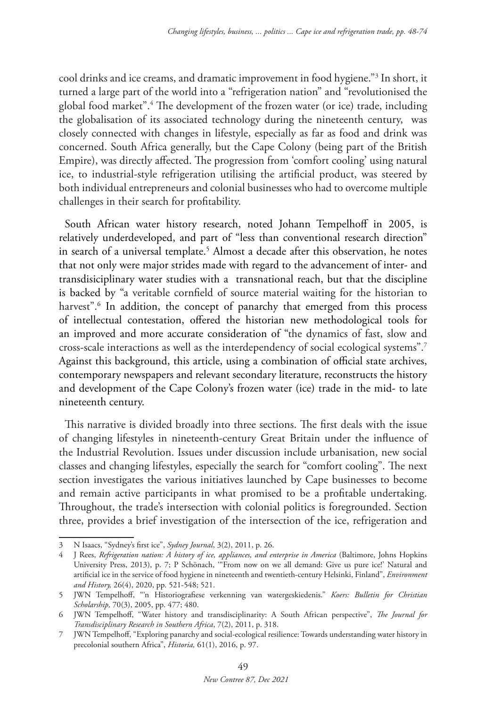cool drinks and ice creams, and dramatic improvement in food hygiene."3 In short, it turned a large part of the world into a "refrigeration nation" and "revolutionised the global food market".4 The development of the frozen water (or ice) trade, including the globalisation of its associated technology during the nineteenth century, was closely connected with changes in lifestyle, especially as far as food and drink was concerned. South Africa generally, but the Cape Colony (being part of the British Empire), was directly affected. The progression from 'comfort cooling' using natural ice, to industrial-style refrigeration utilising the artificial product, was steered by both individual entrepreneurs and colonial businesses who had to overcome multiple challenges in their search for profitability.

South African water history research, noted Johann Tempelhoff in 2005, is relatively underdeveloped, and part of "less than conventional research direction" in search of a universal template.<sup>5</sup> Almost a decade after this observation, he notes that not only were major strides made with regard to the advancement of inter- and transdisiciplinary water studies with a transnational reach, but that the discipline is backed by "a veritable cornfield of source material waiting for the historian to harvest".6 In addition, the concept of panarchy that emerged from this process of intellectual contestation, offered the historian new methodological tools for an improved and more accurate consideration of "the dynamics of fast, slow and cross-scale interactions as well as the interdependency of social ecological systems".7 Against this background, this article, using a combination of official state archives, contemporary newspapers and relevant secondary literature, reconstructs the history and development of the Cape Colony's frozen water (ice) trade in the mid- to late nineteenth century.

This narrative is divided broadly into three sections. The first deals with the issue of changing lifestyles in nineteenth-century Great Britain under the influence of the Industrial Revolution. Issues under discussion include urbanisation, new social classes and changing lifestyles, especially the search for "comfort cooling". The next section investigates the various initiatives launched by Cape businesses to become and remain active participants in what promised to be a profitable undertaking. Throughout, the trade's intersection with colonial politics is foregrounded. Section three, provides a brief investigation of the intersection of the ice, refrigeration and

<sup>3</sup> N Isaacs, "Sydney's first ice", *Sydney Journal*, 3(2), 2011, p. 26.

<sup>4</sup> J Rees, *Refrigeration nation: A history of ice, appliances, and enterprise in America* (Baltimore, Johns Hopkins University Press, 2013), p. 7; P Schönach, '"From now on we all demand: Give us pure ice!' Natural and artificial ice in the service of food hygiene in nineteenth and twentieth-century Helsinki, Finland", *Environment and History,* 26(4), 2020, pp. 521-548; 521.

<sup>5</sup> JWN Tempelhoff, "'n Historiografiese verkenning van watergeskiedenis." *Koers: Bulletin for Christian Scholarship,* 70(3), 2005, pp. 477; 480.

<sup>6</sup> JWN Tempelhoff, "Water history and transdisciplinarity: A South African perspective", *The Journal for Transdisciplinary Research in Southern Africa*, 7(2), 2011, p. 318.

<sup>7</sup> JWN Tempelhoff, "Exploring panarchy and social-ecological resilience: Towards understanding water history in precolonial southern Africa", *Historia,* 61(1), 2016, p. 97.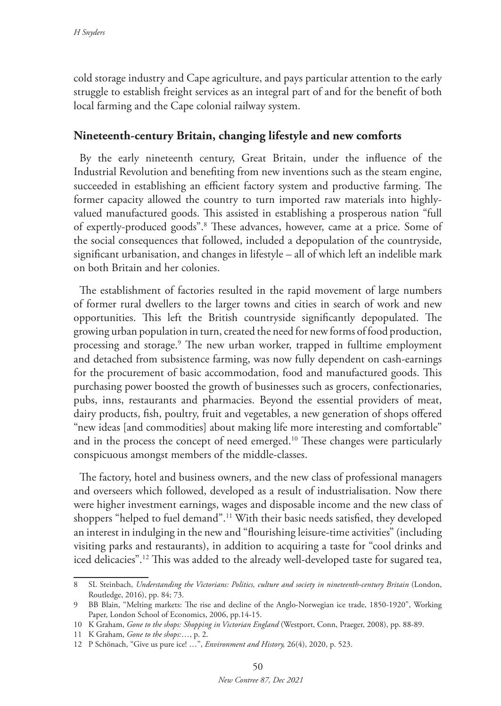cold storage industry and Cape agriculture, and pays particular attention to the early struggle to establish freight services as an integral part of and for the benefit of both local farming and the Cape colonial railway system.

### **Nineteenth-century Britain, changing lifestyle and new comforts**

By the early nineteenth century, Great Britain, under the influence of the Industrial Revolution and benefiting from new inventions such as the steam engine, succeeded in establishing an efficient factory system and productive farming. The former capacity allowed the country to turn imported raw materials into highlyvalued manufactured goods. This assisted in establishing a prosperous nation "full of expertly-produced goods".8 These advances, however, came at a price. Some of the social consequences that followed, included a depopulation of the countryside, significant urbanisation, and changes in lifestyle – all of which left an indelible mark on both Britain and her colonies.

The establishment of factories resulted in the rapid movement of large numbers of former rural dwellers to the larger towns and cities in search of work and new opportunities. This left the British countryside significantly depopulated. The growing urban population in turn, created the need for new forms of food production, processing and storage.9 The new urban worker, trapped in fulltime employment and detached from subsistence farming, was now fully dependent on cash-earnings for the procurement of basic accommodation, food and manufactured goods. This purchasing power boosted the growth of businesses such as grocers, confectionaries, pubs, inns, restaurants and pharmacies. Beyond the essential providers of meat, dairy products, fish, poultry, fruit and vegetables, a new generation of shops offered "new ideas [and commodities] about making life more interesting and comfortable" and in the process the concept of need emerged.<sup>10</sup> These changes were particularly conspicuous amongst members of the middle-classes.

The factory, hotel and business owners, and the new class of professional managers and overseers which followed, developed as a result of industrialisation. Now there were higher investment earnings, wages and disposable income and the new class of shoppers "helped to fuel demand".11 With their basic needs satisfied, they developed an interest in indulging in the new and "flourishing leisure-time activities" (including visiting parks and restaurants), in addition to acquiring a taste for "cool drinks and iced delicacies".12 This was added to the already well-developed taste for sugared tea,

<sup>8</sup> SL Steinbach, *Understanding the Victorians: Politics, culture and society in nineteenth-century Britain* (London, Routledge, 2016), pp. 84; 73.

<sup>9</sup> BB Blain, "Melting markets: The rise and decline of the Anglo-Norwegian ice trade, 1850-1920", Working Paper, London School of Economics, 2006, pp.14-15.

<sup>10</sup> K Graham, *Gone to the shops: Shopping in Victorian England* (Westport, Conn, Praeger, 2008), pp. 88-89.

<sup>11</sup> K Graham, *Gone to the shops:*…, p. 2.

<sup>12</sup> P Schönach, "Give us pure ice! …", *Environment and History,* 26(4), 2020, p. 523.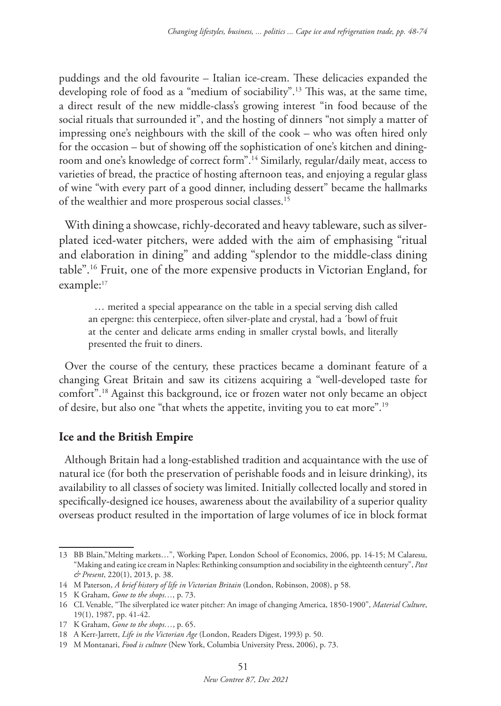puddings and the old favourite – Italian ice-cream. These delicacies expanded the developing role of food as a "medium of sociability".13 This was, at the same time, a direct result of the new middle-class's growing interest "in food because of the social rituals that surrounded it", and the hosting of dinners "not simply a matter of impressing one's neighbours with the skill of the cook – who was often hired only for the occasion – but of showing off the sophistication of one's kitchen and diningroom and one's knowledge of correct form".14 Similarly, regular/daily meat, access to varieties of bread, the practice of hosting afternoon teas, and enjoying a regular glass of wine "with every part of a good dinner, including dessert" became the hallmarks of the wealthier and more prosperous social classes.15

With dining a showcase, richly-decorated and heavy tableware, such as silverplated iced-water pitchers, were added with the aim of emphasising "ritual and elaboration in dining" and adding "splendor to the middle-class dining table".16 Fruit, one of the more expensive products in Victorian England, for example:<sup>17</sup>

… merited a special appearance on the table in a special serving dish called an epergne: this centerpiece, often silver-plate and crystal, had a ´bowl of fruit at the center and delicate arms ending in smaller crystal bowls, and literally presented the fruit to diners.

Over the course of the century, these practices became a dominant feature of a changing Great Britain and saw its citizens acquiring a "well-developed taste for comfort".18 Against this background, ice or frozen water not only became an object of desire, but also one "that whets the appetite, inviting you to eat more".19

# **Ice and the British Empire**

Although Britain had a long-established tradition and acquaintance with the use of natural ice (for both the preservation of perishable foods and in leisure drinking), its availability to all classes of society was limited. Initially collected locally and stored in specifically-designed ice houses, awareness about the availability of a superior quality overseas product resulted in the importation of large volumes of ice in block format

<sup>13</sup> BB Blain,"Melting markets…", Working Paper, London School of Economics, 2006, pp. 14-15; M Calaresu, "Making and eating ice cream in Naples: Rethinking consumption and sociability in the eighteenth century", *Past & Present*, 220(1), 2013, p. 38.

<sup>14</sup> M Paterson, *A brief history of life in Victorian Britain* (London, Robinson, 2008), p 58.

<sup>15</sup> K Graham, *Gone to the shops…,* p. 73.

<sup>16</sup> CL Venable, "The silverplated ice water pitcher: An image of changing America, 1850-1900", *Material Culture*, 19(1), 1987, pp. 41-42.

<sup>17</sup> K Graham, *Gone to the shops…*, p. 65.

<sup>18</sup> A Kerr-Jarrett, *Life in the Victorian Age* (London, Readers Digest, 1993) p. 50.

<sup>19</sup> M Montanari, *Food is culture* (New York, Columbia University Press, 2006), p. 73.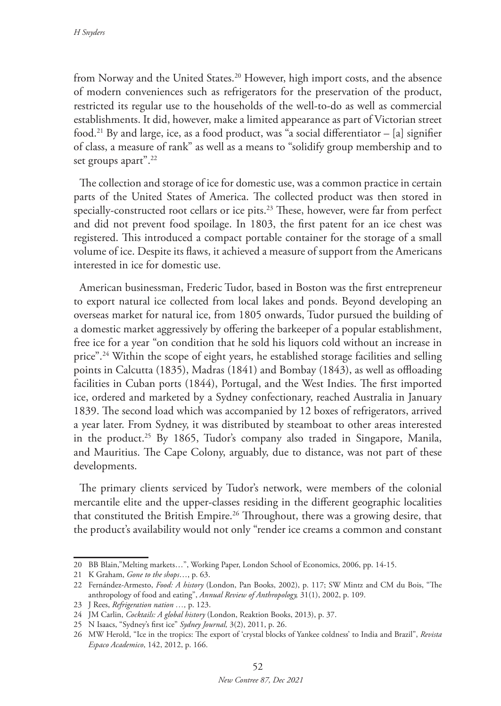from Norway and the United States.20 However, high import costs, and the absence of modern conveniences such as refrigerators for the preservation of the product, restricted its regular use to the households of the well-to-do as well as commercial establishments. It did, however, make a limited appearance as part of Victorian street food.<sup>21</sup> By and large, ice, as a food product, was "a social differentiator  $-$  [a] signifier of class, a measure of rank" as well as a means to "solidify group membership and to set groups apart".<sup>22</sup>

The collection and storage of ice for domestic use, was a common practice in certain parts of the United States of America. The collected product was then stored in specially-constructed root cellars or ice pits.<sup>23</sup> These, however, were far from perfect and did not prevent food spoilage. In 1803, the first patent for an ice chest was registered. This introduced a compact portable container for the storage of a small volume of ice. Despite its flaws, it achieved a measure of support from the Americans interested in ice for domestic use.

American businessman, Frederic Tudor, based in Boston was the first entrepreneur to export natural ice collected from local lakes and ponds. Beyond developing an overseas market for natural ice, from 1805 onwards, Tudor pursued the building of a domestic market aggressively by offering the barkeeper of a popular establishment, free ice for a year "on condition that he sold his liquors cold without an increase in price".24 Within the scope of eight years, he established storage facilities and selling points in Calcutta (1835), Madras (1841) and Bombay (1843), as well as offloading facilities in Cuban ports (1844), Portugal, and the West Indies. The first imported ice, ordered and marketed by a Sydney confectionary, reached Australia in January 1839. The second load which was accompanied by 12 boxes of refrigerators, arrived a year later. From Sydney, it was distributed by steamboat to other areas interested in the product.<sup>25</sup> By 1865, Tudor's company also traded in Singapore, Manila, and Mauritius. The Cape Colony, arguably, due to distance, was not part of these developments.

The primary clients serviced by Tudor's network, were members of the colonial mercantile elite and the upper-classes residing in the different geographic localities that constituted the British Empire.<sup>26</sup> Throughout, there was a growing desire, that the product's availability would not only "render ice creams a common and constant

<sup>20</sup> BB Blain,"Melting markets…", Working Paper, London School of Economics, 2006, pp. 14-15.

<sup>21</sup> K Graham, *Gone to the shops*…, p. 63.

<sup>22</sup> Fernández-Armesto, *Food: A history* (London, Pan Books, 2002), p. 117; SW Mintz and CM du Bois, "The anthropology of food and eating", *Annual Review of Anthropology,* 31(1), 2002, p. 109.

<sup>23</sup> J Rees, *Refrigeration nation …,* p. 123.

<sup>24</sup> JM Carlin, *Cocktails: A global history* (London, Reaktion Books, 2013), p. 37.

<sup>25</sup> N Isaacs, "Sydney's first ice" *Sydney Journal,* 3(2), 2011, p. 26.

<sup>26</sup> MW Herold, "Ice in the tropics: The export of 'crystal blocks of Yankee coldness' to India and Brazil", *Revista Espaco Academico*, 142, 2012, p. 166.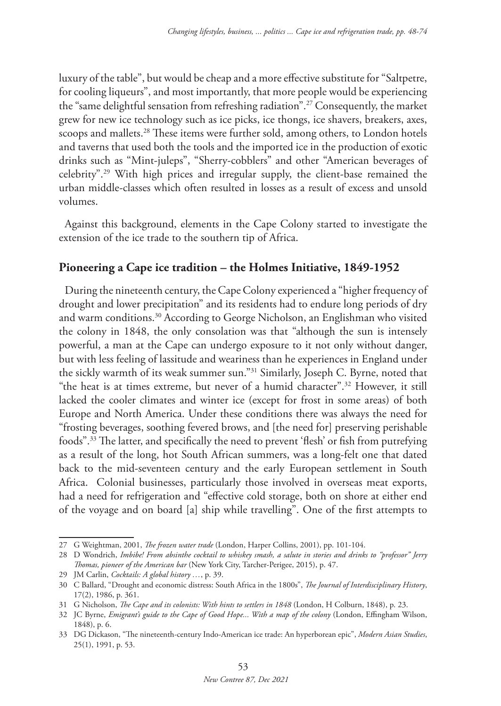luxury of the table", but would be cheap and a more effective substitute for "Saltpetre, for cooling liqueurs", and most importantly, that more people would be experiencing the "same delightful sensation from refreshing radiation".27 Consequently, the market grew for new ice technology such as ice picks, ice thongs, ice shavers, breakers, axes, scoops and mallets.<sup>28</sup> These items were further sold, among others, to London hotels and taverns that used both the tools and the imported ice in the production of exotic drinks such as "Mint-juleps", "Sherry-cobblers" and other "American beverages of celebrity".29 With high prices and irregular supply, the client-base remained the urban middle-classes which often resulted in losses as a result of excess and unsold volumes.

Against this background, elements in the Cape Colony started to investigate the extension of the ice trade to the southern tip of Africa.

#### **Pioneering a Cape ice tradition – the Holmes Initiative, 1849-1952**

During the nineteenth century, the Cape Colony experienced a "higher frequency of drought and lower precipitation" and its residents had to endure long periods of dry and warm conditions.30 According to George Nicholson, an Englishman who visited the colony in 1848, the only consolation was that "although the sun is intensely powerful, a man at the Cape can undergo exposure to it not only without danger, but with less feeling of lassitude and weariness than he experiences in England under the sickly warmth of its weak summer sun."31 Similarly, Joseph C. Byrne, noted that "the heat is at times extreme, but never of a humid character".32 However, it still lacked the cooler climates and winter ice (except for frost in some areas) of both Europe and North America. Under these conditions there was always the need for "frosting beverages, soothing fevered brows, and [the need for] preserving perishable foods".33 The latter, and specifically the need to prevent 'flesh' or fish from putrefying as a result of the long, hot South African summers, was a long-felt one that dated back to the mid-seventeen century and the early European settlement in South Africa. Colonial businesses, particularly those involved in overseas meat exports, had a need for refrigeration and "effective cold storage, both on shore at either end of the voyage and on board [a] ship while travelling". One of the first attempts to

<sup>27</sup> G Weightman, 2001, *The frozen water trade* (London, Harper Collins, 2001), pp. 101-104.

<sup>28</sup> D Wondrich, *Imbibe! From absinthe cocktail to whiskey smash, a salute in stories and drinks to "professor" Jerry Thomas, pioneer of the American bar* (New York City, Tarcher-Perigee, 2015), p. 47.

<sup>29</sup> JM Carlin, *Cocktails: A global history …*, p. 39.

<sup>30</sup> C Ballard, "Drought and economic distress: South Africa in the 1800s", *The Journal of Interdisciplinary History*, 17(2), 1986, p. 361.

<sup>31</sup> G Nicholson, *The Cape and its colonists: With hints to settlers in 1848* (London, H Colburn, 1848), p. 23.

<sup>32</sup> JC Byrne, *Emigrant's guide to the Cape of Good Hope... With a map of the colony* (London, Effingham Wilson, 1848), p. 6.

<sup>33</sup> DG Dickason, "The nineteenth-century Indo-American ice trade: An hyperborean epic", *Modern Asian Studies*, 25(1), 1991, p. 53.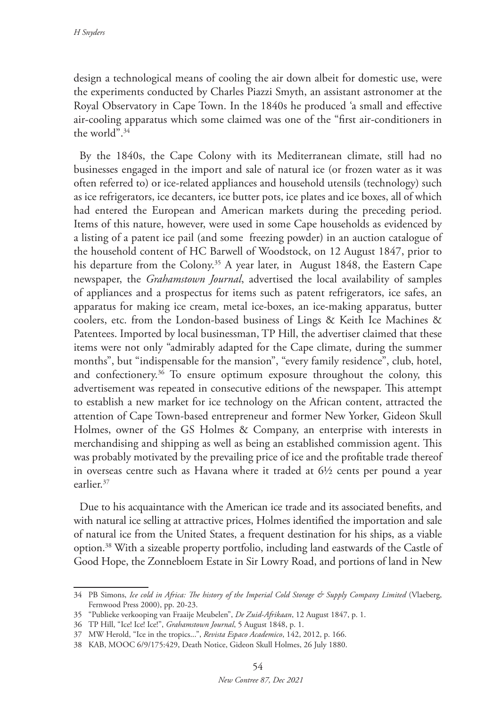design a technological means of cooling the air down albeit for domestic use, were the experiments conducted by Charles Piazzi Smyth, an assistant astronomer at the Royal Observatory in Cape Town. In the 1840s he produced 'a small and effective air-cooling apparatus which some claimed was one of the "first air-conditioners in the world".34

By the 1840s, the Cape Colony with its Mediterranean climate, still had no businesses engaged in the import and sale of natural ice (or frozen water as it was often referred to) or ice-related appliances and household utensils (technology) such as ice refrigerators, ice decanters, ice butter pots, ice plates and ice boxes, all of which had entered the European and American markets during the preceding period. Items of this nature, however, were used in some Cape households as evidenced by a listing of a patent ice pail (and some freezing powder) in an auction catalogue of the household content of HC Barwell of Woodstock, on 12 August 1847, prior to his departure from the Colony.<sup>35</sup> A year later, in August 1848, the Eastern Cape newspaper, the *Grahamstown Journal*, advertised the local availability of samples of appliances and a prospectus for items such as patent refrigerators, ice safes, an apparatus for making ice cream, metal ice-boxes, an ice-making apparatus, butter coolers, etc. from the London-based business of Lings & Keith Ice Machines & Patentees. Imported by local businessman, TP Hill, the advertiser claimed that these items were not only "admirably adapted for the Cape climate, during the summer months", but "indispensable for the mansion", "every family residence", club, hotel, and confectionery.<sup>36</sup> To ensure optimum exposure throughout the colony, this advertisement was repeated in consecutive editions of the newspaper. This attempt to establish a new market for ice technology on the African content, attracted the attention of Cape Town-based entrepreneur and former New Yorker, Gideon Skull Holmes, owner of the GS Holmes & Company, an enterprise with interests in merchandising and shipping as well as being an established commission agent. This was probably motivated by the prevailing price of ice and the profitable trade thereof in overseas centre such as Havana where it traded at 6½ cents per pound a year earlier.37

Due to his acquaintance with the American ice trade and its associated benefits, and with natural ice selling at attractive prices, Holmes identified the importation and sale of natural ice from the United States, a frequent destination for his ships, as a viable option.38 With a sizeable property portfolio, including land eastwards of the Castle of Good Hope, the Zonnebloem Estate in Sir Lowry Road, and portions of land in New

<sup>34</sup> PB Simons, *Ice cold in Africa: The history of the Imperial Cold Storage & Supply Company Limited* (Vlaeberg, Fernwood Press 2000), pp. 20-23.

<sup>35</sup> "Publieke verkooping van Fraaije Meubelen", *De Zuid-Afrikaan*, 12 August 1847, p. 1.

<sup>36</sup> TP Hill, "Ice! Ice! Ice!", *Grahamstown Journal*, 5 August 1848, p. 1.

<sup>37</sup> MW Herold, "Ice in the tropics...", *Revista Espaco Academico*, 142, 2012, p. 166.

<sup>38</sup> KAB, MOOC 6/9/175:429, Death Notice, Gideon Skull Holmes, 26 July 1880.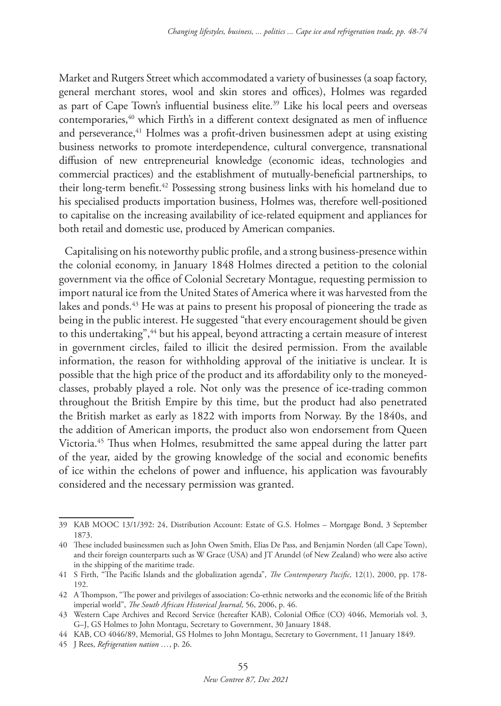Market and Rutgers Street which accommodated a variety of businesses (a soap factory, general merchant stores, wool and skin stores and offices), Holmes was regarded as part of Cape Town's influential business elite.<sup>39</sup> Like his local peers and overseas contemporaries,<sup>40</sup> which Firth's in a different context designated as men of influence and perseverance,<sup>41</sup> Holmes was a profit-driven businessmen adept at using existing business networks to promote interdependence, cultural convergence, transnational diffusion of new entrepreneurial knowledge (economic ideas, technologies and commercial practices) and the establishment of mutually-beneficial partnerships, to their long-term benefit.42 Possessing strong business links with his homeland due to his specialised products importation business, Holmes was, therefore well-positioned to capitalise on the increasing availability of ice-related equipment and appliances for both retail and domestic use, produced by American companies.

Capitalising on his noteworthy public profile, and a strong business-presence within the colonial economy, in January 1848 Holmes directed a petition to the colonial government via the office of Colonial Secretary Montague, requesting permission to import natural ice from the United States of America where it was harvested from the lakes and ponds.<sup>43</sup> He was at pains to present his proposal of pioneering the trade as being in the public interest. He suggested "that every encouragement should be given to this undertaking",<sup>44</sup> but his appeal, beyond attracting a certain measure of interest in government circles, failed to illicit the desired permission. From the available information, the reason for withholding approval of the initiative is unclear. It is possible that the high price of the product and its affordability only to the moneyedclasses, probably played a role. Not only was the presence of ice-trading common throughout the British Empire by this time, but the product had also penetrated the British market as early as 1822 with imports from Norway. By the 1840s, and the addition of American imports, the product also won endorsement from Queen Victoria.45 Thus when Holmes, resubmitted the same appeal during the latter part of the year, aided by the growing knowledge of the social and economic benefits of ice within the echelons of power and influence, his application was favourably considered and the necessary permission was granted.

<sup>39</sup> KAB MOOC 13/1/392: 24, Distribution Account: Estate of G.S. Holmes – Mortgage Bond, 3 September 1873.

<sup>40</sup> These included businessmen such as John Owen Smith, Elias De Pass, and Benjamin Norden (all Cape Town), and their foreign counterparts such as W Grace (USA) and JT Arundel (of New Zealand) who were also active in the shipping of the maritime trade.

<sup>41</sup> S Firth, "The Pacific Islands and the globalization agenda", *The Contemporary Pacific,* 12(1), 2000, pp. 178- 192.

<sup>42</sup> A Thompson, "The power and privileges of association: Co-ethnic networks and the economic life of the British imperial world", *The South African Historical Journal*, 56, 2006, p. 46.

<sup>43</sup> Western Cape Archives and Record Service (hereafter KAB), Colonial Office (CO) 4046, Memorials vol. 3, G–J, GS Holmes to John Montagu, Secretary to Government, 30 January 1848.

<sup>44</sup> KAB, CO 4046/89, Memorial, GS Holmes to John Montagu, Secretary to Government, 11 January 1849.

<sup>45</sup> J Rees, *Refrigeration nation …*, p. 26.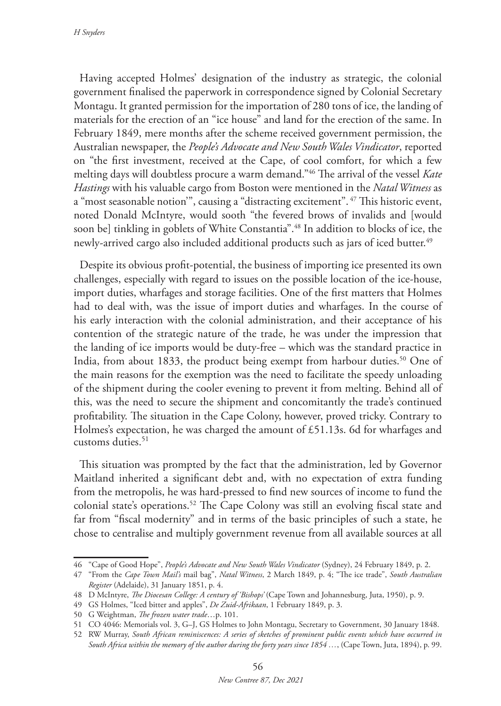*H Snyders*

Having accepted Holmes' designation of the industry as strategic, the colonial government finalised the paperwork in correspondence signed by Colonial Secretary Montagu. It granted permission for the importation of 280 tons of ice, the landing of materials for the erection of an "ice house" and land for the erection of the same. In February 1849, mere months after the scheme received government permission, the Australian newspaper, the *People's Advocate and New South Wales Vindicator*, reported on "the first investment, received at the Cape, of cool comfort, for which a few melting days will doubtless procure a warm demand."46 The arrival of the vessel *Kate Hastings* with his valuable cargo from Boston were mentioned in the *Natal Witness* as a "most seasonable notion'", causing a "distracting excitement". 47 This historic event, noted Donald McIntyre, would sooth "the fevered brows of invalids and [would soon be] tinkling in goblets of White Constantia".<sup>48</sup> In addition to blocks of ice, the newly-arrived cargo also included additional products such as jars of iced butter.<sup>49</sup>

Despite its obvious profit-potential, the business of importing ice presented its own challenges, especially with regard to issues on the possible location of the ice-house, import duties, wharfages and storage facilities. One of the first matters that Holmes had to deal with, was the issue of import duties and wharfages. In the course of his early interaction with the colonial administration, and their acceptance of his contention of the strategic nature of the trade, he was under the impression that the landing of ice imports would be duty-free – which was the standard practice in India, from about 1833, the product being exempt from harbour duties.50 One of the main reasons for the exemption was the need to facilitate the speedy unloading of the shipment during the cooler evening to prevent it from melting. Behind all of this, was the need to secure the shipment and concomitantly the trade's continued profitability. The situation in the Cape Colony, however, proved tricky. Contrary to Holmes's expectation, he was charged the amount of £51.13s. 6d for wharfages and customs duties.<sup>51</sup>

This situation was prompted by the fact that the administration, led by Governor Maitland inherited a significant debt and, with no expectation of extra funding from the metropolis, he was hard-pressed to find new sources of income to fund the colonial state's operations.52 The Cape Colony was still an evolving fiscal state and far from "fiscal modernity" and in terms of the basic principles of such a state, he chose to centralise and multiply government revenue from all available sources at all

<sup>46</sup> "Cape of Good Hope", *People's Advocate and New South Wales Vindicator* (Sydney), 24 February 1849, p. 2.

<sup>47</sup> "From the *Cape Town Mail's* mail bag", *Natal Witness*, 2 March 1849, p. 4; "The ice trade", *South Australian Register* (Adelaide), 31 January 1851, p. 4.

<sup>48</sup> D McIntyre, *The Diocesan College: A century of 'Bishops'* (Cape Town and Johannesburg, Juta, 1950), p. 9.

<sup>49</sup> GS Holmes, "Iced bitter and apples", *De Zuid-Afrikaan*, 1 February 1849, p. 3.

<sup>50</sup> G Weightman, *The frozen water trade*…p. 101.

<sup>51</sup> CO 4046: Memorials vol. 3, G–J, GS Holmes to John Montagu, Secretary to Government, 30 January 1848.

<sup>52</sup> RW Murray, *South African reminiscences: A series of sketches of prominent public events which have occurred in South Africa within the memory of the author during the forty years since 1854 …*, (Cape Town, Juta, 1894), p. 99.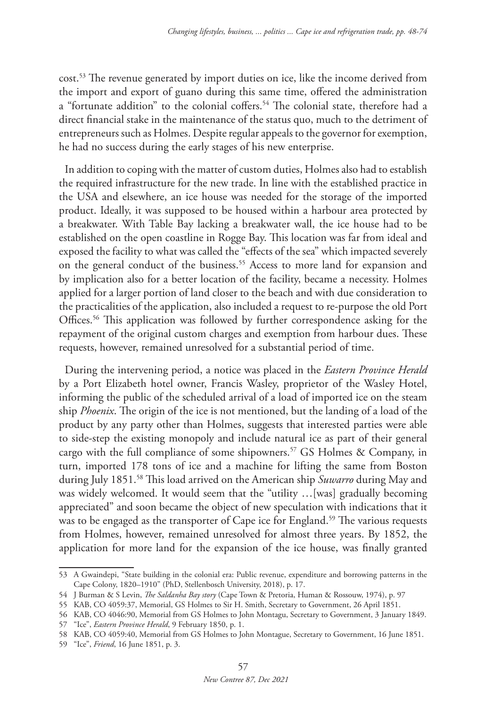cost.53 The revenue generated by import duties on ice, like the income derived from the import and export of guano during this same time, offered the administration a "fortunate addition" to the colonial coffers.<sup>54</sup> The colonial state, therefore had a direct financial stake in the maintenance of the status quo, much to the detriment of entrepreneurs such as Holmes. Despite regular appeals to the governor for exemption, he had no success during the early stages of his new enterprise.

In addition to coping with the matter of custom duties, Holmes also had to establish the required infrastructure for the new trade. In line with the established practice in the USA and elsewhere, an ice house was needed for the storage of the imported product. Ideally, it was supposed to be housed within a harbour area protected by a breakwater. With Table Bay lacking a breakwater wall, the ice house had to be established on the open coastline in Rogge Bay. This location was far from ideal and exposed the facility to what was called the "effects of the sea" which impacted severely on the general conduct of the business.<sup>55</sup> Access to more land for expansion and by implication also for a better location of the facility, became a necessity. Holmes applied for a larger portion of land closer to the beach and with due consideration to the practicalities of the application, also included a request to re-purpose the old Port Offices.<sup>56</sup> This application was followed by further correspondence asking for the repayment of the original custom charges and exemption from harbour dues. These requests, however, remained unresolved for a substantial period of time.

During the intervening period, a notice was placed in the *Eastern Province Herald* by a Port Elizabeth hotel owner, Francis Wasley, proprietor of the Wasley Hotel, informing the public of the scheduled arrival of a load of imported ice on the steam ship *Phoenix*. The origin of the ice is not mentioned, but the landing of a load of the product by any party other than Holmes, suggests that interested parties were able to side-step the existing monopoly and include natural ice as part of their general cargo with the full compliance of some shipowners.57 GS Holmes & Company, in turn, imported 178 tons of ice and a machine for lifting the same from Boston during July 1851.58 This load arrived on the American ship *Suwarro* during May and was widely welcomed. It would seem that the "utility …[was] gradually becoming appreciated" and soon became the object of new speculation with indications that it was to be engaged as the transporter of Cape ice for England.<sup>59</sup> The various requests from Holmes, however, remained unresolved for almost three years. By 1852, the application for more land for the expansion of the ice house, was finally granted

57 "Ice", *Eastern Province Herald*, 9 February 1850, p. 1.

<sup>53</sup> A Gwaindepi, "State building in the colonial era: Public revenue, expenditure and borrowing patterns in the Cape Colony, 1820–1910" (PhD, Stellenbosch University, 2018), p. 17.

<sup>54</sup> J Burman & S Levin, *The Saldanha Bay story* (Cape Town & Pretoria, Human & Rossouw, 1974), p. 97

<sup>55</sup> KAB, CO 4059:37, Memorial, GS Holmes to Sir H. Smith, Secretary to Government, 26 April 1851.

<sup>56</sup> KAB, CO 4046:90, Memorial from GS Holmes to John Montagu, Secretary to Government, 3 January 1849.

<sup>58</sup> KAB, CO 4059:40, Memorial from GS Holmes to John Montague, Secretary to Government, 16 June 1851.

<sup>59</sup> "Ice", *Friend*, 16 June 1851, p. 3.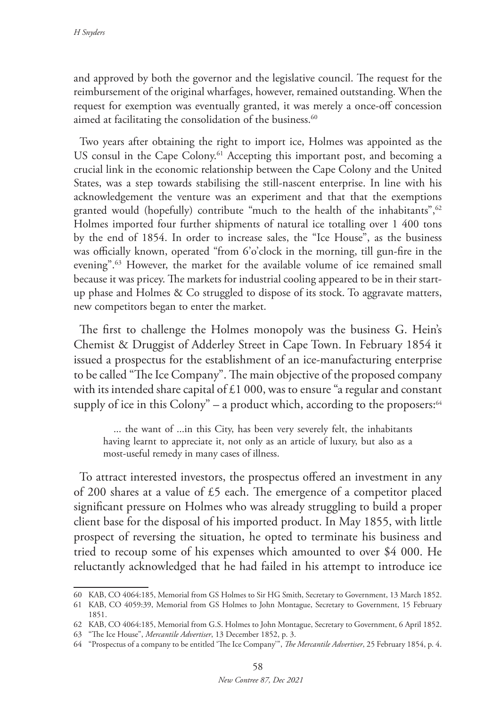and approved by both the governor and the legislative council. The request for the reimbursement of the original wharfages, however, remained outstanding. When the request for exemption was eventually granted, it was merely a once-off concession aimed at facilitating the consolidation of the business.<sup>60</sup>

Two years after obtaining the right to import ice, Holmes was appointed as the US consul in the Cape Colony.<sup>61</sup> Accepting this important post, and becoming a crucial link in the economic relationship between the Cape Colony and the United States, was a step towards stabilising the still-nascent enterprise. In line with his acknowledgement the venture was an experiment and that that the exemptions granted would (hopefully) contribute "much to the health of the inhabitants", $62$ Holmes imported four further shipments of natural ice totalling over 1 400 tons by the end of 1854. In order to increase sales, the "Ice House", as the business was officially known, operated "from 6'o'clock in the morning, till gun-fire in the evening".<sup>63</sup> However, the market for the available volume of ice remained small because it was pricey. The markets for industrial cooling appeared to be in their startup phase and Holmes & Co struggled to dispose of its stock. To aggravate matters, new competitors began to enter the market.

The first to challenge the Holmes monopoly was the business G. Hein's Chemist & Druggist of Adderley Street in Cape Town. In February 1854 it issued a prospectus for the establishment of an ice-manufacturing enterprise to be called "The Ice Company". The main objective of the proposed company with its intended share capital of £1 000, was to ensure "a regular and constant supply of ice in this Colony" – a product which, according to the proposers: $64$ 

... the want of ...in this City, has been very severely felt, the inhabitants having learnt to appreciate it, not only as an article of luxury, but also as a most-useful remedy in many cases of illness.

To attract interested investors, the prospectus offered an investment in any of 200 shares at a value of £5 each. The emergence of a competitor placed significant pressure on Holmes who was already struggling to build a proper client base for the disposal of his imported product. In May 1855, with little prospect of reversing the situation, he opted to terminate his business and tried to recoup some of his expenses which amounted to over \$4 000. He reluctantly acknowledged that he had failed in his attempt to introduce ice

<sup>60</sup> KAB, CO 4064:185, Memorial from GS Holmes to Sir HG Smith, Secretary to Government, 13 March 1852.

<sup>61</sup> KAB, CO 4059:39, Memorial from GS Holmes to John Montague, Secretary to Government, 15 February 1851.

<sup>62</sup> KAB, CO 4064:185, Memorial from G.S. Holmes to John Montague, Secretary to Government, 6 April 1852.

<sup>63</sup> "The Ice House", *Mercantile Advertiser*, 13 December 1852, p. 3.

<sup>64</sup> "Prospectus of a company to be entitled 'The Ice Company'", *The Mercantile Advertiser*, 25 February 1854, p. 4.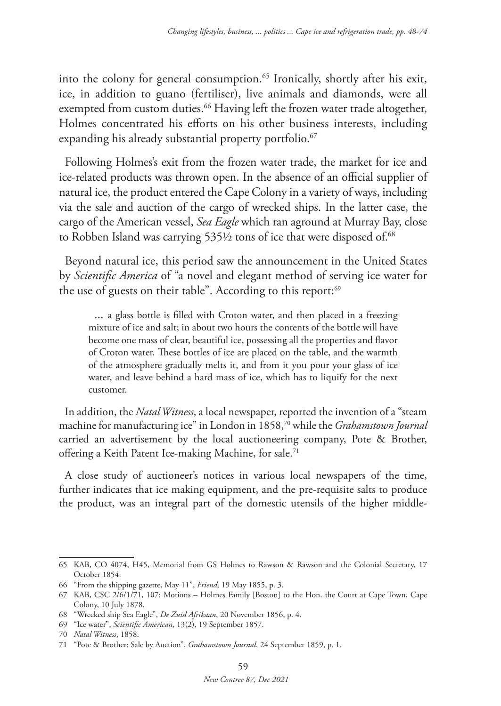into the colony for general consumption.65 Ironically, shortly after his exit, ice, in addition to guano (fertiliser), live animals and diamonds, were all exempted from custom duties.<sup>66</sup> Having left the frozen water trade altogether, Holmes concentrated his efforts on his other business interests, including expanding his already substantial property portfolio.<sup>67</sup>

Following Holmes's exit from the frozen water trade, the market for ice and ice-related products was thrown open. In the absence of an official supplier of natural ice, the product entered the Cape Colony in a variety of ways, including via the sale and auction of the cargo of wrecked ships. In the latter case, the cargo of the American vessel, *Sea Eagle* which ran aground at Murray Bay, close to Robben Island was carrying 535½ tons of ice that were disposed of.<sup>68</sup>

Beyond natural ice, this period saw the announcement in the United States by *Scientific America* of "a novel and elegant method of serving ice water for the use of guests on their table". According to this report:<sup>69</sup>

... a glass bottle is filled with Croton water, and then placed in a freezing mixture of ice and salt; in about two hours the contents of the bottle will have become one mass of clear, beautiful ice, possessing all the properties and flavor of Croton water. These bottles of ice are placed on the table, and the warmth of the atmosphere gradually melts it, and from it you pour your glass of ice water, and leave behind a hard mass of ice, which has to liquify for the next customer.

In addition, the *Natal Witness*, a local newspaper, reported the invention of a "steam machine for manufacturing ice" in London in 1858,70 while the *Grahamstown Journal* carried an advertisement by the local auctioneering company, Pote & Brother, offering a Keith Patent Ice-making Machine, for sale.<sup>71</sup>

A close study of auctioneer's notices in various local newspapers of the time, further indicates that ice making equipment, and the pre-requisite salts to produce the product, was an integral part of the domestic utensils of the higher middle-

<sup>65</sup> KAB, CO 4074, H45, Memorial from GS Holmes to Rawson & Rawson and the Colonial Secretary, 17 October 1854.

<sup>66</sup> "From the shipping gazette, May 11", *Friend,* 19 May 1855, p. 3.

<sup>67</sup> KAB, CSC 2/6/1/71, 107: Motions – Holmes Family [Boston] to the Hon. the Court at Cape Town, Cape Colony, 10 July 1878.

<sup>68</sup> "Wrecked ship Sea Eagle", *De Zuid Afrikaan*, 20 November 1856, p. 4.

<sup>69</sup> "Ice water", *Scientific American*, 13(2), 19 September 1857.

<sup>70</sup> *Natal Witness*, 1858.

<sup>71</sup> "Pote & Brother: Sale by Auction", *Grahamstown Journal*, 24 September 1859, p. 1.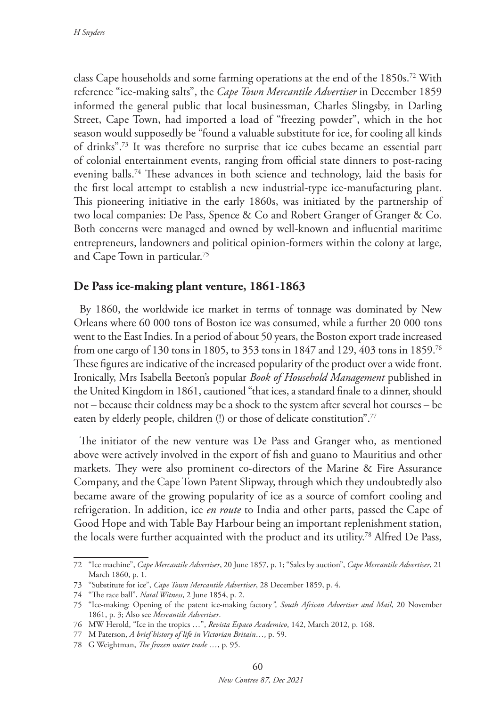class Cape households and some farming operations at the end of the 1850s.72 With reference "ice-making salts", the *Cape Town Mercantile Advertiser* in December 1859 informed the general public that local businessman, Charles Slingsby, in Darling Street, Cape Town, had imported a load of "freezing powder", which in the hot season would supposedly be "found a valuable substitute for ice, for cooling all kinds of drinks".73 It was therefore no surprise that ice cubes became an essential part of colonial entertainment events, ranging from official state dinners to post-racing evening balls.74 These advances in both science and technology, laid the basis for the first local attempt to establish a new industrial-type ice-manufacturing plant. This pioneering initiative in the early 1860s, was initiated by the partnership of two local companies: De Pass, Spence & Co and Robert Granger of Granger & Co. Both concerns were managed and owned by well-known and influential maritime entrepreneurs, landowners and political opinion-formers within the colony at large, and Cape Town in particular.75

## **De Pass ice-making plant venture, 1861-1863**

By 1860, the worldwide ice market in terms of tonnage was dominated by New Orleans where 60 000 tons of Boston ice was consumed, while a further 20 000 tons went to the East Indies. In a period of about 50 years, the Boston export trade increased from one cargo of 130 tons in 1805, to 353 tons in 1847 and 129, 403 tons in 1859.76 These figures are indicative of the increased popularity of the product over a wide front. Ironically, Mrs Isabella Beeton's popular *Book of Household Management* published in the United Kingdom in 1861, cautioned "that ices, a standard finale to a dinner, should not – because their coldness may be a shock to the system after several hot courses – be eaten by elderly people, children (!) or those of delicate constitution".<sup>77</sup>

The initiator of the new venture was De Pass and Granger who, as mentioned above were actively involved in the export of fish and guano to Mauritius and other markets. They were also prominent co-directors of the Marine & Fire Assurance Company, and the Cape Town Patent Slipway, through which they undoubtedly also became aware of the growing popularity of ice as a source of comfort cooling and refrigeration. In addition, ice *en route* to India and other parts, passed the Cape of Good Hope and with Table Bay Harbour being an important replenishment station, the locals were further acquainted with the product and its utility.78 Alfred De Pass,

<sup>72</sup> "Ice machine", *Cape Mercantile Advertiser*, 20 June 1857, p. 1; "Sales by auction", *Cape Mercantile Advertiser*, 21 March 1860, p. 1.

<sup>73</sup> "Substitute for ice", *Cape Town Mercantile Advertiser*, 28 December 1859, p. 4.

<sup>74</sup> "The race ball", *Natal Witness*, 2 June 1854, p. 2.

<sup>75</sup> "Ice-making: Opening of the patent ice-making factory*", South African Advertiser and Mail*, 20 November 1861, p. 3; Also see *Mercantile Advertiser*.

<sup>76</sup> MW Herold, "Ice in the tropics …", *Revista Espaco Academico*, 142, March 2012, p. 168.

<sup>77</sup> M Paterson, *A brief history of life in Victorian Britain*…, p. 59.

<sup>78</sup> G Weightman, *The frozen water trade …*, p. 95.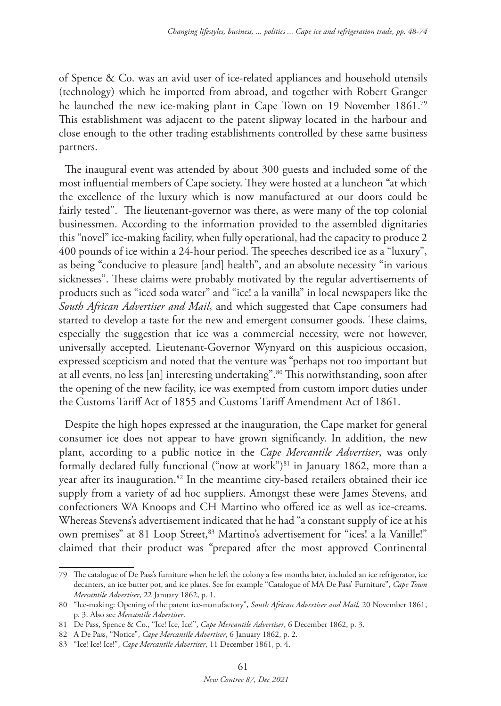of Spence & Co. was an avid user of ice-related appliances and household utensils (technology) which he imported from abroad, and together with Robert Granger he launched the new ice-making plant in Cape Town on 19 November 1861.<sup>79</sup> This establishment was adjacent to the patent slipway located in the harbour and close enough to the other trading establishments controlled by these same business partners.

The inaugural event was attended by about 300 guests and included some of the most influential members of Cape society. They were hosted at a luncheon "at which the excellence of the luxury which is now manufactured at our doors could be fairly tested". The lieutenant-governor was there, as were many of the top colonial businessmen. According to the information provided to the assembled dignitaries this "novel" ice-making facility, when fully operational, had the capacity to produce 2 400 pounds of ice within a 24-hour period. The speeches described ice as a "luxury", as being "conducive to pleasure [and] health", and an absolute necessity "in various sicknesses". These claims were probably motivated by the regular advertisements of products such as "iced soda water" and "ice! a la vanilla" in local newspapers like the *South African Advertiser and Mail*, and which suggested that Cape consumers had started to develop a taste for the new and emergent consumer goods. These claims, especially the suggestion that ice was a commercial necessity, were not however, universally accepted. Lieutenant-Governor Wynyard on this auspicious occasion, expressed scepticism and noted that the venture was "perhaps not too important but at all events, no less [an] interesting undertaking".80 This notwithstanding, soon after the opening of the new facility, ice was exempted from custom import duties under the Customs Tariff Act of 1855 and Customs Tariff Amendment Act of 1861.

Despite the high hopes expressed at the inauguration, the Cape market for general consumer ice does not appear to have grown significantly. In addition, the new plant, according to a public notice in the *Cape Mercantile Advertiser*, was only formally declared fully functional ("now at work")<sup>81</sup> in January 1862, more than a year after its inauguration.<sup>82</sup> In the meantime city-based retailers obtained their ice supply from a variety of ad hoc suppliers. Amongst these were James Stevens, and confectioners WA Knoops and CH Martino who offered ice as well as ice-creams. Whereas Stevens's advertisement indicated that he had "a constant supply of ice at his own premises" at 81 Loop Street,<sup>83</sup> Martino's advertisement for "ices! a la Vanille!" claimed that their product was "prepared after the most approved Continental

<sup>79</sup> The catalogue of De Pass's furniture when he left the colony a few months later, included an ice refrigerator, ice decanters, an ice butter pot, and ice plates. See for example "Catalogue of MA De Pass' Furniture", *Cape Town Mercantile Advertiser*, 22 January 1862, p. 1.

<sup>80</sup> "Ice-making: Opening of the patent ice-manufactory", *South African Advertiser and Mail*, 20 November 1861, p. 3. Also see *Mercantile Advertiser*.

<sup>81</sup> De Pass, Spence & Co., "Ice! Ice, Ice!", *Cape Mercantile Advertiser*, 6 December 1862, p. 3.

<sup>82</sup> A De Pass, "Notice", *Cape Mercantile Advertiser*, 6 January 1862, p. 2.

<sup>83</sup> "Ice! Ice! Ice!", *Cape Mercantile Advertiser*, 11 December 1861, p. 4.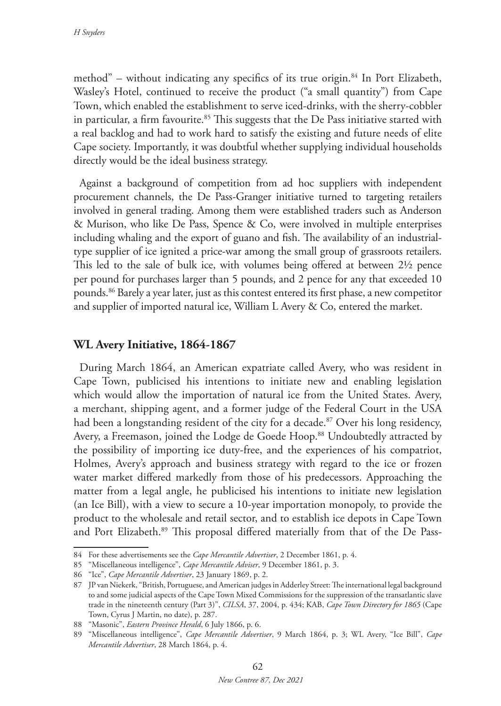method" – without indicating any specifics of its true origin.84 In Port Elizabeth, Wasley's Hotel, continued to receive the product ("a small quantity") from Cape Town, which enabled the establishment to serve iced-drinks, with the sherry-cobbler in particular, a firm favourite. $85$  This suggests that the De Pass initiative started with a real backlog and had to work hard to satisfy the existing and future needs of elite Cape society. Importantly, it was doubtful whether supplying individual households directly would be the ideal business strategy.

Against a background of competition from ad hoc suppliers with independent procurement channels, the De Pass-Granger initiative turned to targeting retailers involved in general trading. Among them were established traders such as Anderson & Murison, who like De Pass, Spence & Co, were involved in multiple enterprises including whaling and the export of guano and fish. The availability of an industrialtype supplier of ice ignited a price-war among the small group of grassroots retailers. This led to the sale of bulk ice, with volumes being offered at between 2½ pence per pound for purchases larger than 5 pounds, and 2 pence for any that exceeded 10 pounds.86 Barely a year later, just as this contest entered its first phase, a new competitor and supplier of imported natural ice, William L Avery & Co, entered the market.

## **WL Avery Initiative, 1864-1867**

During March 1864, an American expatriate called Avery, who was resident in Cape Town, publicised his intentions to initiate new and enabling legislation which would allow the importation of natural ice from the United States. Avery, a merchant, shipping agent, and a former judge of the Federal Court in the USA had been a longstanding resident of the city for a decade.<sup>87</sup> Over his long residency, Avery, a Freemason, joined the Lodge de Goede Hoop.<sup>88</sup> Undoubtedly attracted by the possibility of importing ice duty-free, and the experiences of his compatriot, Holmes, Avery's approach and business strategy with regard to the ice or frozen water market differed markedly from those of his predecessors. Approaching the matter from a legal angle, he publicised his intentions to initiate new legislation (an Ice Bill), with a view to secure a 10-year importation monopoly, to provide the product to the wholesale and retail sector, and to establish ice depots in Cape Town and Port Elizabeth.89 This proposal differed materially from that of the De Pass-

<sup>84</sup> For these advertisements see the *Cape Mercantile Advertiser*, 2 December 1861, p. 4.

<sup>85</sup> "Miscellaneous intelligence", *Cape Mercantile Adviser*, 9 December 1861, p. 3.

<sup>86</sup> "Ice", *Cape Mercantile Advertiser*, 23 January 1869, p. 2.

<sup>87</sup> JP van Niekerk, "British, Portuguese, and American judges in Adderley Street: The international legal background to and some judicial aspects of the Cape Town Mixed Commissions for the suppression of the transatlantic slave trade in the nineteenth century (Part 3)", *CILSA*, 37, 2004, p. 434; KAB, *Cape Town Directory for 1865* (Cape Town, Cyrus J Martin, no date), p. 287.

<sup>88</sup> "Masonic", *Eastern Province Herald*, 6 July 1866, p. 6.

<sup>89</sup> "Miscellaneous intelligence", *Cape Mercantile Advertiser*, 9 March 1864, p. 3; WL Avery, "Ice Bill", *Cape Mercantile Advertiser*, 28 March 1864, p. 4.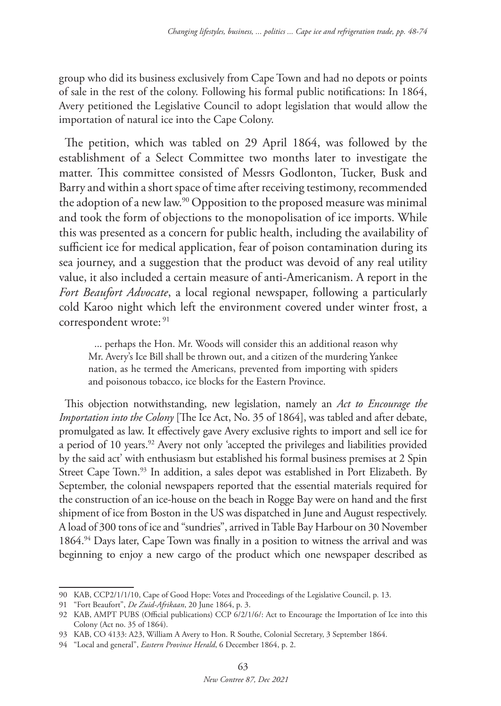group who did its business exclusively from Cape Town and had no depots or points of sale in the rest of the colony. Following his formal public notifications: In 1864, Avery petitioned the Legislative Council to adopt legislation that would allow the importation of natural ice into the Cape Colony.

The petition, which was tabled on 29 April 1864, was followed by the establishment of a Select Committee two months later to investigate the matter. This committee consisted of Messrs Godlonton, Tucker, Busk and Barry and within a short space of time after receiving testimony, recommended the adoption of a new law.<sup>90</sup> Opposition to the proposed measure was minimal and took the form of objections to the monopolisation of ice imports. While this was presented as a concern for public health, including the availability of sufficient ice for medical application, fear of poison contamination during its sea journey, and a suggestion that the product was devoid of any real utility value, it also included a certain measure of anti-Americanism. A report in the *Fort Beaufort Advocate*, a local regional newspaper, following a particularly cold Karoo night which left the environment covered under winter frost, a correspondent wrote: 91

... perhaps the Hon. Mr. Woods will consider this an additional reason why Mr. Avery's Ice Bill shall be thrown out, and a citizen of the murdering Yankee nation, as he termed the Americans, prevented from importing with spiders and poisonous tobacco, ice blocks for the Eastern Province.

This objection notwithstanding, new legislation, namely an *Act to Encourage the Importation into the Colony* [The Ice Act, No. 35 of 1864], was tabled and after debate, promulgated as law. It effectively gave Avery exclusive rights to import and sell ice for a period of 10 years.<sup>92</sup> Avery not only 'accepted the privileges and liabilities provided by the said act' with enthusiasm but established his formal business premises at 2 Spin Street Cape Town.<sup>93</sup> In addition, a sales depot was established in Port Elizabeth. By September, the colonial newspapers reported that the essential materials required for the construction of an ice-house on the beach in Rogge Bay were on hand and the first shipment of ice from Boston in the US was dispatched in June and August respectively. A load of 300 tons of ice and "sundries", arrived in Table Bay Harbour on 30 November 1864.94 Days later, Cape Town was finally in a position to witness the arrival and was beginning to enjoy a new cargo of the product which one newspaper described as

<sup>90</sup> KAB, CCP2/1/1/10, Cape of Good Hope: Votes and Proceedings of the Legislative Council, p. 13.

<sup>91</sup> "Fort Beaufort", *De Zuid-Afrikaan*, 20 June 1864, p. 3.

<sup>92</sup> KAB, AMPT PUBS (Official publications) CCP 6/2/1/6/: Act to Encourage the Importation of Ice into this Colony (Act no. 35 of 1864).

<sup>93</sup> KAB, CO 4133: A23, William A Avery to Hon. R Southe, Colonial Secretary, 3 September 1864.

<sup>94</sup> "Local and general", *Eastern Province Herald*, 6 December 1864, p. 2.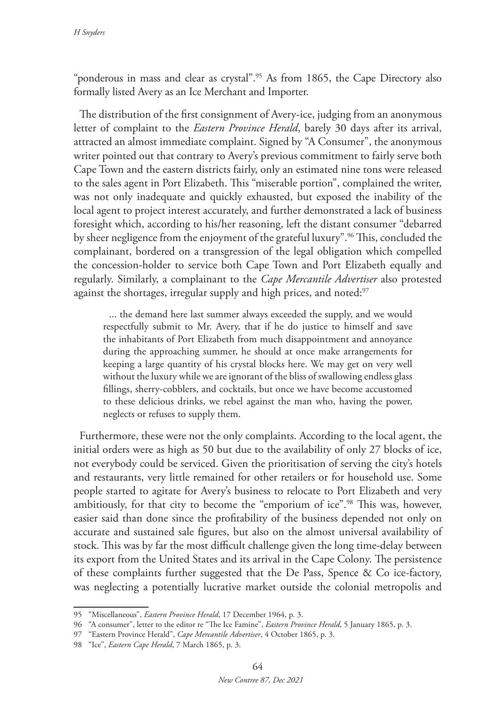"ponderous in mass and clear as crystal".<sup>95</sup> As from 1865, the Cape Directory also formally listed Avery as an Ice Merchant and Importer.

The distribution of the first consignment of Avery-ice, judging from an anonymous letter of complaint to the *Eastern Province Herald*, barely 30 days after its arrival, attracted an almost immediate complaint. Signed by "A Consumer", the anonymous writer pointed out that contrary to Avery's previous commitment to fairly serve both Cape Town and the eastern districts fairly, only an estimated nine tons were released to the sales agent in Port Elizabeth. This "miserable portion", complained the writer, was not only inadequate and quickly exhausted, but exposed the inability of the local agent to project interest accurately, and further demonstrated a lack of business foresight which, according to his/her reasoning, left the distant consumer "debarred by sheer negligence from the enjoyment of the grateful luxury".<sup>96</sup> This, concluded the complainant, bordered on a transgression of the legal obligation which compelled the concession-holder to service both Cape Town and Port Elizabeth equally and regularly. Similarly, a complainant to the *Cape Mercantile Advertiser* also protested against the shortages, irregular supply and high prices, and noted:<sup>97</sup>

... the demand here last summer always exceeded the supply, and we would respectfully submit to Mr. Avery, that if he do justice to himself and save the inhabitants of Port Elizabeth from much disappointment and annoyance during the approaching summer, he should at once make arrangements for keeping a large quantity of his crystal blocks here. We may get on very well without the luxury while we are ignorant of the bliss of swallowing endless glass fillings, sherry-cobblers, and cocktails, but once we have become accustomed to these delicious drinks, we rebel against the man who, having the power, neglects or refuses to supply them.

Furthermore, these were not the only complaints. According to the local agent, the initial orders were as high as 50 but due to the availability of only 27 blocks of ice, not everybody could be serviced. Given the prioritisation of serving the city's hotels and restaurants, very little remained for other retailers or for household use. Some people started to agitate for Avery's business to relocate to Port Elizabeth and very ambitiously, for that city to become the "emporium of ice".<sup>98</sup> This was, however, easier said than done since the profitability of the business depended not only on accurate and sustained sale figures, but also on the almost universal availability of stock. This was by far the most difficult challenge given the long time-delay between its export from the United States and its arrival in the Cape Colony. The persistence of these complaints further suggested that the De Pass, Spence & Co ice-factory, was neglecting a potentially lucrative market outside the colonial metropolis and

<sup>95</sup> "Miscellaneous", *Eastern Province Herald*, 17 December 1964, p. 3.

<sup>96</sup> "A consumer", letter to the editor re "The Ice Famine", *Eastern Province Herald*, 5 January 1865, p. 3.

<sup>97</sup> "Eastern Province Herald", *Cape Mercantile Advertiser*, 4 October 1865, p. 3.

<sup>98</sup> "Ice", *Eastern Cape Herald*, 7 March 1865, p. 3.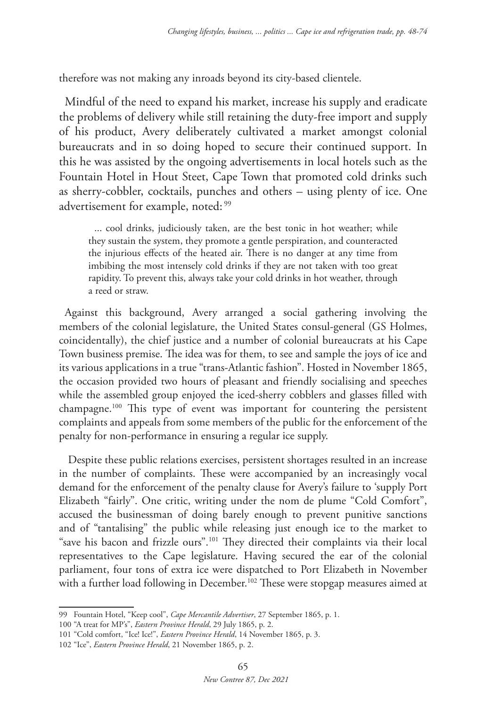therefore was not making any inroads beyond its city-based clientele.

Mindful of the need to expand his market, increase his supply and eradicate the problems of delivery while still retaining the duty-free import and supply of his product, Avery deliberately cultivated a market amongst colonial bureaucrats and in so doing hoped to secure their continued support. In this he was assisted by the ongoing advertisements in local hotels such as the Fountain Hotel in Hout Steet, Cape Town that promoted cold drinks such as sherry-cobbler, cocktails, punches and others – using plenty of ice. One advertisement for example, noted: <sup>99</sup>

... cool drinks, judiciously taken, are the best tonic in hot weather; while they sustain the system, they promote a gentle perspiration, and counteracted the injurious effects of the heated air. There is no danger at any time from imbibing the most intensely cold drinks if they are not taken with too great rapidity. To prevent this, always take your cold drinks in hot weather, through a reed or straw.

Against this background, Avery arranged a social gathering involving the members of the colonial legislature, the United States consul-general (GS Holmes, coincidentally), the chief justice and a number of colonial bureaucrats at his Cape Town business premise. The idea was for them, to see and sample the joys of ice and its various applications in a true "trans-Atlantic fashion". Hosted in November 1865, the occasion provided two hours of pleasant and friendly socialising and speeches while the assembled group enjoyed the iced-sherry cobblers and glasses filled with champagne.100 This type of event was important for countering the persistent complaints and appeals from some members of the public for the enforcement of the penalty for non-performance in ensuring a regular ice supply.

Despite these public relations exercises, persistent shortages resulted in an increase in the number of complaints. These were accompanied by an increasingly vocal demand for the enforcement of the penalty clause for Avery's failure to 'supply Port Elizabeth "fairly". One critic, writing under the nom de plume "Cold Comfort", accused the businessman of doing barely enough to prevent punitive sanctions and of "tantalising" the public while releasing just enough ice to the market to "save his bacon and frizzle ours".101 They directed their complaints via their local representatives to the Cape legislature. Having secured the ear of the colonial parliament, four tons of extra ice were dispatched to Port Elizabeth in November with a further load following in December.<sup>102</sup> These were stopgap measures aimed at

<sup>99</sup> Fountain Hotel, "Keep cool", *Cape Mercantile Advertiser*, 27 September 1865, p. 1.

<sup>100</sup> "A treat for MP's", *Eastern Province Herald*, 29 July 1865, p. 2.

<sup>101</sup> "Cold comfort, "Ice! Ice!", *Eastern Province Herald*, 14 November 1865, p. 3.

<sup>102</sup> "Ice", *Eastern Province Herald*, 21 November 1865, p. 2.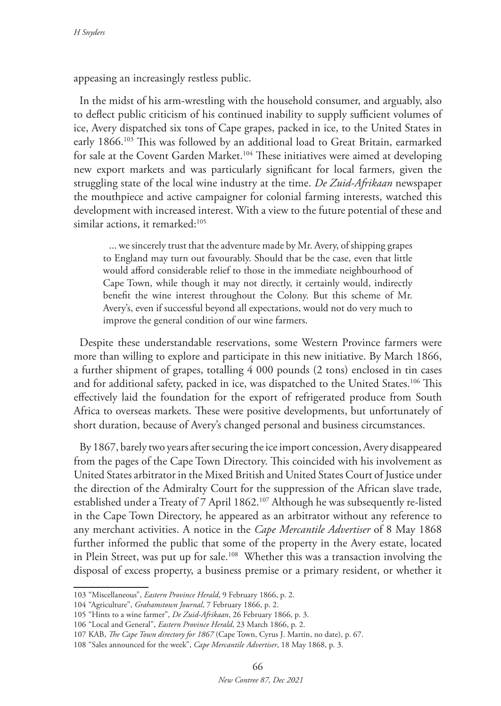appeasing an increasingly restless public.

In the midst of his arm-wrestling with the household consumer, and arguably, also to deflect public criticism of his continued inability to supply sufficient volumes of ice, Avery dispatched six tons of Cape grapes, packed in ice, to the United States in early 1866.103 This was followed by an additional load to Great Britain, earmarked for sale at the Covent Garden Market.104 These initiatives were aimed at developing new export markets and was particularly significant for local farmers, given the struggling state of the local wine industry at the time. *De Zuid-Afrikaan* newspaper the mouthpiece and active campaigner for colonial farming interests, watched this development with increased interest. With a view to the future potential of these and similar actions, it remarked:<sup>105</sup>

... we sincerely trust that the adventure made by Mr. Avery, of shipping grapes to England may turn out favourably. Should that be the case, even that little would afford considerable relief to those in the immediate neighbourhood of Cape Town, while though it may not directly, it certainly would, indirectly benefit the wine interest throughout the Colony. But this scheme of Mr. Avery's, even if successful beyond all expectations, would not do very much to improve the general condition of our wine farmers.

Despite these understandable reservations, some Western Province farmers were more than willing to explore and participate in this new initiative. By March 1866, a further shipment of grapes, totalling 4 000 pounds (2 tons) enclosed in tin cases and for additional safety, packed in ice, was dispatched to the United States.<sup>106</sup> This effectively laid the foundation for the export of refrigerated produce from South Africa to overseas markets. These were positive developments, but unfortunately of short duration, because of Avery's changed personal and business circumstances.

By 1867, barely two years after securing the ice import concession, Avery disappeared from the pages of the Cape Town Directory. This coincided with his involvement as United States arbitrator in the Mixed British and United States Court of Justice under the direction of the Admiralty Court for the suppression of the African slave trade, established under a Treaty of 7 April 1862.<sup>107</sup> Although he was subsequently re-listed in the Cape Town Directory, he appeared as an arbitrator without any reference to any merchant activities. A notice in the *Cape Mercantile Advertiser* of 8 May 1868 further informed the public that some of the property in the Avery estate, located in Plein Street, was put up for sale.<sup>108</sup> Whether this was a transaction involving the disposal of excess property, a business premise or a primary resident, or whether it

<sup>103</sup> "Miscellaneous", *Eastern Province Herald*, 9 February 1866, p. 2.

<sup>104</sup> "Agriculture", *Grahamstown Journal*, 7 February 1866, p. 2.

<sup>105</sup> "Hints to a wine farmer", *De Zuid-Afrikaan*, 26 February 1866, p. 3.

<sup>106</sup> "Local and General", *Eastern Province Herald*, 23 March 1866, p. 2.

<sup>107</sup> KAB, *The Cape Town directory for 1867* (Cape Town, Cyrus J. Martin, no date), p. 67.

<sup>108</sup> "Sales announced for the week", *Cape Mercantile Advertiser*, 18 May 1868, p. 3.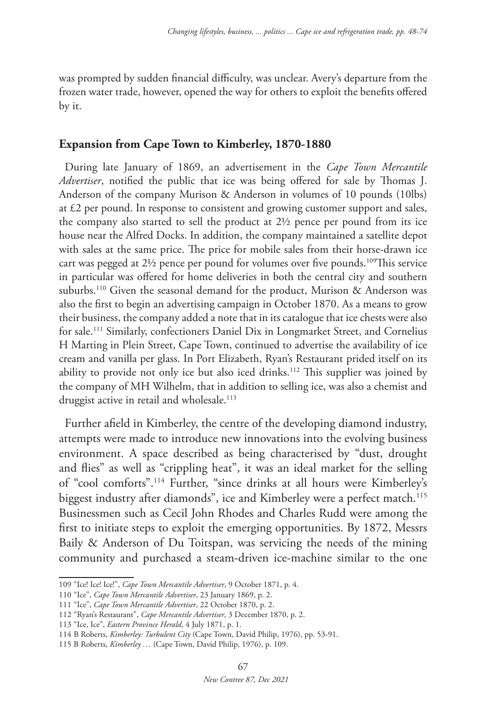was prompted by sudden financial difficulty, was unclear. Avery's departure from the frozen water trade, however, opened the way for others to exploit the benefits offered by it.

#### **Expansion from Cape Town to Kimberley, 1870-1880**

During late January of 1869, an advertisement in the *Cape Town Mercantile Advertiser*, notified the public that ice was being offered for sale by Thomas J. Anderson of the company Murison & Anderson in volumes of 10 pounds (10lbs) at £2 per pound. In response to consistent and growing customer support and sales, the company also started to sell the product at 2½ pence per pound from its ice house near the Alfred Docks. In addition, the company maintained a satellite depot with sales at the same price. The price for mobile sales from their horse-drawn ice cart was pegged at  $2\frac{1}{2}$  pence per pound for volumes over five pounds.<sup>109</sup>This service in particular was offered for home deliveries in both the central city and southern suburbs.110 Given the seasonal demand for the product, Murison & Anderson was also the first to begin an advertising campaign in October 1870. As a means to grow their business, the company added a note that in its catalogue that ice chests were also for sale.111 Similarly, confectioners Daniel Dix in Longmarket Street, and Cornelius H Marting in Plein Street, Cape Town, continued to advertise the availability of ice cream and vanilla per glass. In Port Elizabeth, Ryan's Restaurant prided itself on its ability to provide not only ice but also iced drinks.<sup>112</sup> This supplier was joined by the company of MH Wilhelm, that in addition to selling ice, was also a chemist and druggist active in retail and wholesale.<sup>113</sup>

Further afield in Kimberley, the centre of the developing diamond industry, attempts were made to introduce new innovations into the evolving business environment. A space described as being characterised by "dust, drought and flies" as well as "crippling heat", it was an ideal market for the selling of "cool comforts".114 Further, "since drinks at all hours were Kimberley's biggest industry after diamonds", ice and Kimberley were a perfect match.<sup>115</sup> Businessmen such as Cecil John Rhodes and Charles Rudd were among the first to initiate steps to exploit the emerging opportunities. By 1872, Messrs Baily & Anderson of Du Toitspan, was servicing the needs of the mining community and purchased a steam-driven ice-machine similar to the one

<sup>109</sup> "Ice! Ice! Ice!", *Cape Town Mercantile Advertiser*, 9 October 1871, p. 4.

<sup>110</sup> "Ice", *Cape Town Mercantile Advertiser*, 23 January 1869, p. 2.

<sup>111</sup> "Ice", *Cape Town Mercantile Advertiser*, 22 October 1870, p. 2.

<sup>112</sup> "Ryan's Restaurant", *Cape Mercantile Advertiser*, 3 December 1870, p. 2.

<sup>113</sup> "Ice, Ice", *Eastern Province Herald*, 4 July 1871, p. 1.

<sup>114</sup> B Roberts, *Kimberley: Turbulent City* (Cape Town, David Philip, 1976), pp. 53-91.

<sup>115</sup> B Roberts, *Kimberley …* (Cape Town, David Philip, 1976), p. 109.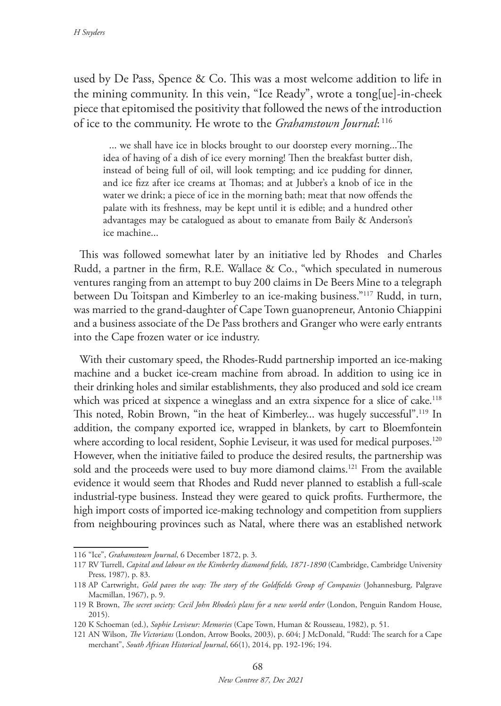used by De Pass, Spence & Co. This was a most welcome addition to life in the mining community. In this vein, "Ice Ready", wrote a tong[ue]-in-cheek piece that epitomised the positivity that followed the news of the introduction of ice to the community. He wrote to the *Grahamstown Journal*: <sup>116</sup>

... we shall have ice in blocks brought to our doorstep every morning...The idea of having of a dish of ice every morning! Then the breakfast butter dish, instead of being full of oil, will look tempting; and ice pudding for dinner, and ice fizz after ice creams at Thomas; and at Jubber's a knob of ice in the water we drink; a piece of ice in the morning bath; meat that now offends the palate with its freshness, may be kept until it is edible; and a hundred other advantages may be catalogued as about to emanate from Baily & Anderson's ice machine...

This was followed somewhat later by an initiative led by Rhodes and Charles Rudd, a partner in the firm, R.E. Wallace & Co., "which speculated in numerous ventures ranging from an attempt to buy 200 claims in De Beers Mine to a telegraph between Du Toitspan and Kimberley to an ice-making business."117 Rudd, in turn, was married to the grand-daughter of Cape Town guanopreneur, Antonio Chiappini and a business associate of the De Pass brothers and Granger who were early entrants into the Cape frozen water or ice industry.

With their customary speed, the Rhodes-Rudd partnership imported an ice-making machine and a bucket ice-cream machine from abroad. In addition to using ice in their drinking holes and similar establishments, they also produced and sold ice cream which was priced at sixpence a wineglass and an extra sixpence for a slice of cake.<sup>118</sup> This noted, Robin Brown, "in the heat of Kimberley... was hugely successful".119 In addition, the company exported ice, wrapped in blankets, by cart to Bloemfontein where according to local resident, Sophie Leviseur, it was used for medical purposes.<sup>120</sup> However, when the initiative failed to produce the desired results, the partnership was sold and the proceeds were used to buy more diamond claims.<sup>121</sup> From the available evidence it would seem that Rhodes and Rudd never planned to establish a full-scale industrial-type business. Instead they were geared to quick profits. Furthermore, the high import costs of imported ice-making technology and competition from suppliers from neighbouring provinces such as Natal, where there was an established network

<sup>116</sup> "Ice", *Grahamstown Journal*, 6 December 1872, p. 3.

<sup>117</sup> RV Turrell, *Capital and labour on the Kimberley diamond fields, 1871-1890* (Cambridge, Cambridge University Press, 1987), p. 83.

<sup>118</sup> AP Cartwright, *Gold paves the way: The story of the Goldfields Group of Companies* (Johannesburg, Palgrave Macmillan, 1967), p. 9.

<sup>119</sup> R Brown, *The secret society: Cecil John Rhodes's plans for a new world order* (London, Penguin Random House, 2015).

<sup>120</sup> K Schoeman (ed.), *Sophie Leviseur: Memories* (Cape Town, Human & Rousseau, 1982), p. 51.

<sup>121</sup> AN Wilson, *The Victorians* (London, Arrow Books, 2003), p. 604; J McDonald, "Rudd: The search for a Cape merchant", *South African Historical Journal*, 66(1), 2014, pp. 192-196; 194.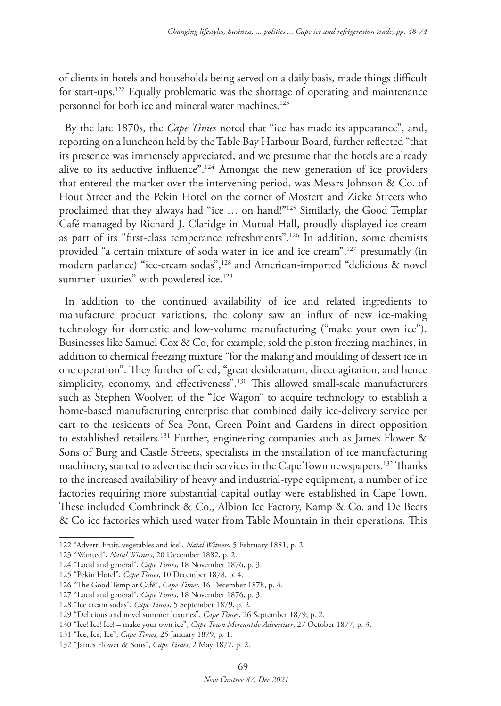of clients in hotels and households being served on a daily basis, made things difficult for start-ups.122 Equally problematic was the shortage of operating and maintenance personnel for both ice and mineral water machines.<sup>123</sup>

By the late 1870s, the *Cape Times* noted that "ice has made its appearance", and, reporting on a luncheon held by the Table Bay Harbour Board, further reflected "that its presence was immensely appreciated, and we presume that the hotels are already alive to its seductive influence".124 Amongst the new generation of ice providers that entered the market over the intervening period, was Messrs Johnson & Co. of Hout Street and the Pekin Hotel on the corner of Mostert and Zieke Streets who proclaimed that they always had "ice … on hand!"125 Similarly, the Good Templar Café managed by Richard J. Claridge in Mutual Hall, proudly displayed ice cream as part of its "first-class temperance refreshments".126 In addition, some chemists provided "a certain mixture of soda water in ice and ice cream",127 presumably (in modern parlance) "ice-cream sodas",128 and American-imported "delicious & novel summer luxuries" with powdered ice.<sup>129</sup>

In addition to the continued availability of ice and related ingredients to manufacture product variations, the colony saw an influx of new ice-making technology for domestic and low-volume manufacturing ("make your own ice"). Businesses like Samuel Cox & Co, for example, sold the piston freezing machines, in addition to chemical freezing mixture "for the making and moulding of dessert ice in one operation". They further offered, "great desideratum, direct agitation, and hence simplicity, economy, and effectiveness".<sup>130</sup> This allowed small-scale manufacturers such as Stephen Woolven of the "Ice Wagon" to acquire technology to establish a home-based manufacturing enterprise that combined daily ice-delivery service per cart to the residents of Sea Pont, Green Point and Gardens in direct opposition to established retailers.<sup>131</sup> Further, engineering companies such as James Flower & Sons of Burg and Castle Streets, specialists in the installation of ice manufacturing machinery, started to advertise their services in the Cape Town newspapers.<sup>132</sup> Thanks to the increased availability of heavy and industrial-type equipment, a number of ice factories requiring more substantial capital outlay were established in Cape Town. These included Combrinck & Co., Albion Ice Factory, Kamp & Co. and De Beers & Co ice factories which used water from Table Mountain in their operations. This

<sup>122</sup> "Advert: Fruit, vegetables and ice", *Natal Witness*, 5 February 1881, p. 2.

<sup>123</sup> "Wanted", *Natal Witness*, 20 December 1882, p. 2.

<sup>124</sup> "Local and general", *Cape Times*, 18 November 1876, p. 3.

<sup>125</sup> "Pekin Hotel", *Cape Times*, 10 December 1878, p. 4.

<sup>126</sup> "The Good Templar Café", *Cape Times*, 16 December 1878, p. 4.

<sup>127</sup> "Local and general", *Cape Times*, 18 November 1876, p. 3.

<sup>128</sup> "Ice cream sodas", *Cape Times*, 5 September 1879, p. 2.

<sup>129</sup> "Delicious and novel summer luxuries", *Cape Times*, 26 September 1879, p. 2.

<sup>130</sup> "Ice! Ice! Ice! – make your own ice", *Cape Town Mercantile Advertiser*, 27 October 1877, p. 3.

<sup>131</sup> "Ice, Ice, Ice", *Cape Times*, 25 January 1879, p. 1.

<sup>132</sup> "James Flower & Sons", *Cape Times*, 2 May 1877, p. 2.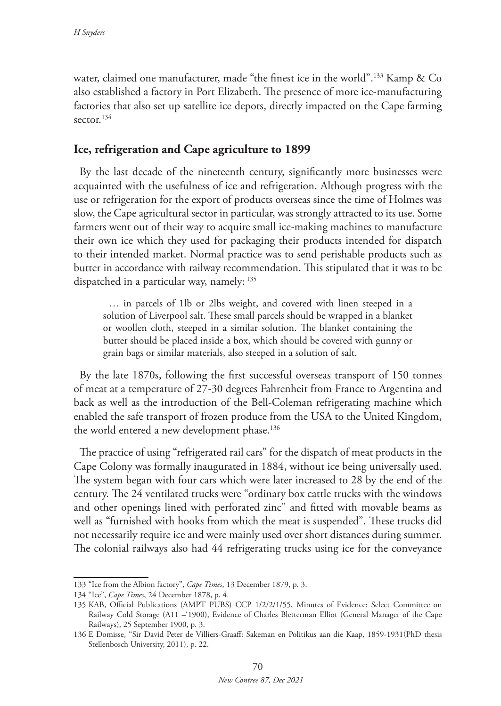water, claimed one manufacturer, made "the finest ice in the world".133 Kamp & Co also established a factory in Port Elizabeth. The presence of more ice-manufacturing factories that also set up satellite ice depots, directly impacted on the Cape farming sector.<sup>134</sup>

# **Ice, refrigeration and Cape agriculture to 1899**

By the last decade of the nineteenth century, significantly more businesses were acquainted with the usefulness of ice and refrigeration. Although progress with the use or refrigeration for the export of products overseas since the time of Holmes was slow, the Cape agricultural sector in particular, was strongly attracted to its use. Some farmers went out of their way to acquire small ice-making machines to manufacture their own ice which they used for packaging their products intended for dispatch to their intended market. Normal practice was to send perishable products such as butter in accordance with railway recommendation. This stipulated that it was to be dispatched in a particular way, namely: 135

… in parcels of 1lb or 2lbs weight, and covered with linen steeped in a solution of Liverpool salt. These small parcels should be wrapped in a blanket or woollen cloth, steeped in a similar solution. The blanket containing the butter should be placed inside a box, which should be covered with gunny or grain bags or similar materials, also steeped in a solution of salt.

By the late 1870s, following the first successful overseas transport of 150 tonnes of meat at a temperature of 27-30 degrees Fahrenheit from France to Argentina and back as well as the introduction of the Bell-Coleman refrigerating machine which enabled the safe transport of frozen produce from the USA to the United Kingdom, the world entered a new development phase.<sup>136</sup>

The practice of using "refrigerated rail cars" for the dispatch of meat products in the Cape Colony was formally inaugurated in 1884, without ice being universally used. The system began with four cars which were later increased to 28 by the end of the century. The 24 ventilated trucks were "ordinary box cattle trucks with the windows and other openings lined with perforated zinc" and fitted with movable beams as well as "furnished with hooks from which the meat is suspended". These trucks did not necessarily require ice and were mainly used over short distances during summer. The colonial railways also had 44 refrigerating trucks using ice for the conveyance

<sup>133</sup> "Ice from the Albion factory", *Cape Times*, 13 December 1879, p. 3.

<sup>134</sup> "Ice", *Cape Times*, 24 December 1878, p. 4.

<sup>135</sup> KAB, Official Publications (AMPT PUBS) CCP 1/2/2/1/55, Minutes of Evidence: Select Committee on Railway Cold Storage (A11 –'1900), Evidence of Charles Bletterman Elliot (General Manager of the Cape Railways), 25 September 1900, p. 3.

<sup>136</sup> E Domisse, "Sir David Peter de Villiers-Graaff: Sakeman en Politikus aan die Kaap, 1859-1931(PhD thesis Stellenbosch University, 2011), p. 22.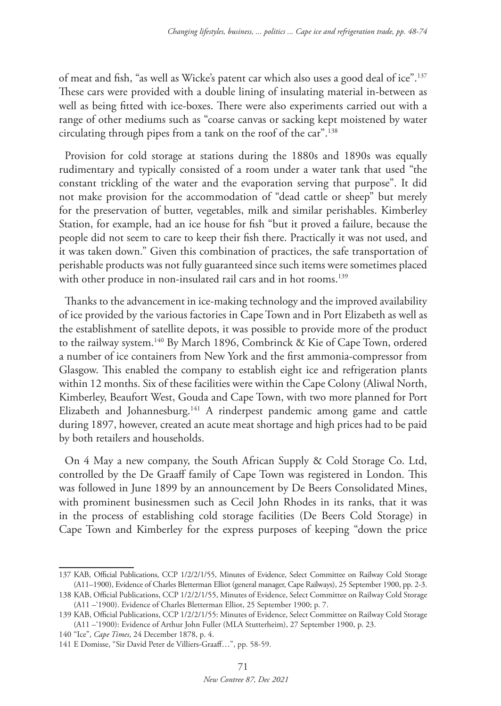of meat and fish, "as well as Wicke's patent car which also uses a good deal of ice".137 These cars were provided with a double lining of insulating material in-between as well as being fitted with ice-boxes. There were also experiments carried out with a range of other mediums such as "coarse canvas or sacking kept moistened by water circulating through pipes from a tank on the roof of the car".138

Provision for cold storage at stations during the 1880s and 1890s was equally rudimentary and typically consisted of a room under a water tank that used "the constant trickling of the water and the evaporation serving that purpose". It did not make provision for the accommodation of "dead cattle or sheep" but merely for the preservation of butter, vegetables, milk and similar perishables. Kimberley Station, for example, had an ice house for fish "but it proved a failure, because the people did not seem to care to keep their fish there. Practically it was not used, and it was taken down." Given this combination of practices, the safe transportation of perishable products was not fully guaranteed since such items were sometimes placed with other produce in non-insulated rail cars and in hot rooms.<sup>139</sup>

Thanks to the advancement in ice-making technology and the improved availability of ice provided by the various factories in Cape Town and in Port Elizabeth as well as the establishment of satellite depots, it was possible to provide more of the product to the railway system.<sup>140</sup> By March 1896, Combrinck & Kie of Cape Town, ordered a number of ice containers from New York and the first ammonia-compressor from Glasgow. This enabled the company to establish eight ice and refrigeration plants within 12 months. Six of these facilities were within the Cape Colony (Aliwal North, Kimberley, Beaufort West, Gouda and Cape Town, with two more planned for Port Elizabeth and Johannesburg.<sup>141</sup> A rinderpest pandemic among game and cattle during 1897, however, created an acute meat shortage and high prices had to be paid by both retailers and households.

On 4 May a new company, the South African Supply & Cold Storage Co. Ltd, controlled by the De Graaff family of Cape Town was registered in London. This was followed in June 1899 by an announcement by De Beers Consolidated Mines, with prominent businessmen such as Cecil John Rhodes in its ranks, that it was in the process of establishing cold storage facilities (De Beers Cold Storage) in Cape Town and Kimberley for the express purposes of keeping "down the price

<sup>137</sup> KAB, Official Publications, CCP 1/2/2/1/55, Minutes of Evidence, Select Committee on Railway Cold Storage (A11–1900), Evidence of Charles Bletterman Elliot (general manager, Cape Railways), 25 September 1900, pp. 2-3.

<sup>138</sup> KAB, Official Publications, CCP 1/2/2/1/55, Minutes of Evidence, Select Committee on Railway Cold Storage (A11 –'1900). Evidence of Charles Bletterman Elliot, 25 September 1900; p. 7.

<sup>139</sup> KAB, Official Publications, CCP 1/2/2/1/55: Minutes of Evidence, Select Committee on Railway Cold Storage (A11 –'1900): Evidence of Arthur John Fuller (MLA Stutterheim), 27 September 1900, p. 23.

<sup>140</sup> "Ice", *Cape Times*, 24 December 1878, p. 4.

<sup>141</sup> E Domisse, "Sir David Peter de Villiers-Graaff…", pp. 58-59.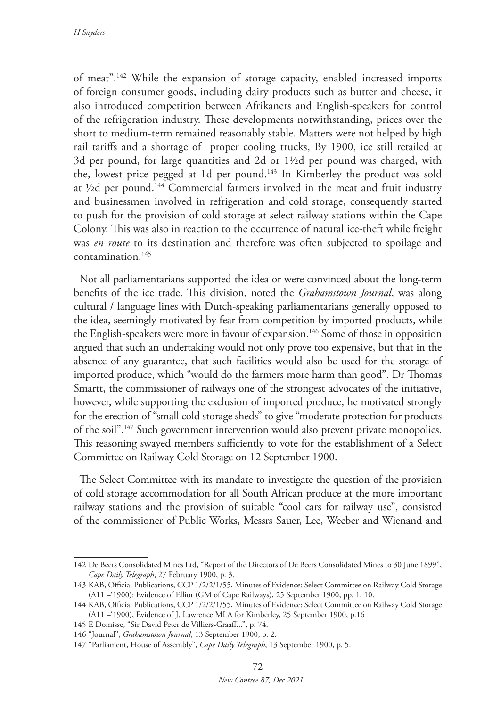of meat".142 While the expansion of storage capacity, enabled increased imports of foreign consumer goods, including dairy products such as butter and cheese, it also introduced competition between Afrikaners and English-speakers for control of the refrigeration industry. These developments notwithstanding, prices over the short to medium-term remained reasonably stable. Matters were not helped by high rail tariffs and a shortage of proper cooling trucks, By 1900, ice still retailed at 3d per pound, for large quantities and 2d or 1½d per pound was charged, with the, lowest price pegged at 1d per pound.<sup>143</sup> In Kimberley the product was sold at ½d per pound.144 Commercial farmers involved in the meat and fruit industry and businessmen involved in refrigeration and cold storage, consequently started to push for the provision of cold storage at select railway stations within the Cape Colony. This was also in reaction to the occurrence of natural ice-theft while freight was *en route* to its destination and therefore was often subjected to spoilage and contamination.145

Not all parliamentarians supported the idea or were convinced about the long-term benefits of the ice trade. This division, noted the *Grahamstown Journal*, was along cultural / language lines with Dutch-speaking parliamentarians generally opposed to the idea, seemingly motivated by fear from competition by imported products, while the English-speakers were more in favour of expansion.<sup>146</sup> Some of those in opposition argued that such an undertaking would not only prove too expensive, but that in the absence of any guarantee, that such facilities would also be used for the storage of imported produce, which "would do the farmers more harm than good". Dr Thomas Smartt, the commissioner of railways one of the strongest advocates of the initiative, however, while supporting the exclusion of imported produce, he motivated strongly for the erection of "small cold storage sheds" to give "moderate protection for products of the soil".147 Such government intervention would also prevent private monopolies. This reasoning swayed members sufficiently to vote for the establishment of a Select Committee on Railway Cold Storage on 12 September 1900.

The Select Committee with its mandate to investigate the question of the provision of cold storage accommodation for all South African produce at the more important railway stations and the provision of suitable "cool cars for railway use", consisted of the commissioner of Public Works, Messrs Sauer, Lee, Weeber and Wienand and

<sup>142</sup> De Beers Consolidated Mines Ltd, "Report of the Directors of De Beers Consolidated Mines to 30 June 1899", *Cape Daily Telegraph*, 27 February 1900, p. 3.

<sup>143</sup> KAB, Official Publications, CCP 1/2/2/1/55, Minutes of Evidence: Select Committee on Railway Cold Storage (A11 –'1900): Evidence of Elliot (GM of Cape Railways), 25 September 1900, pp. 1, 10.

<sup>144</sup> KAB, Official Publications, CCP 1/2/2/1/55, Minutes of Evidence: Select Committee on Railway Cold Storage (A11 –'1900), Evidence of J. Lawrence MLA for Kimberley, 25 September 1900, p.16

<sup>145</sup> E Domisse, "Sir David Peter de Villiers-Graaff...", p. 74.

<sup>146</sup> "Journal", *Grahamstown Journal*, 13 September 1900, p. 2.

<sup>147</sup> "Parliament, House of Assembly", *Cape Daily Telegraph*, 13 September 1900, p. 5.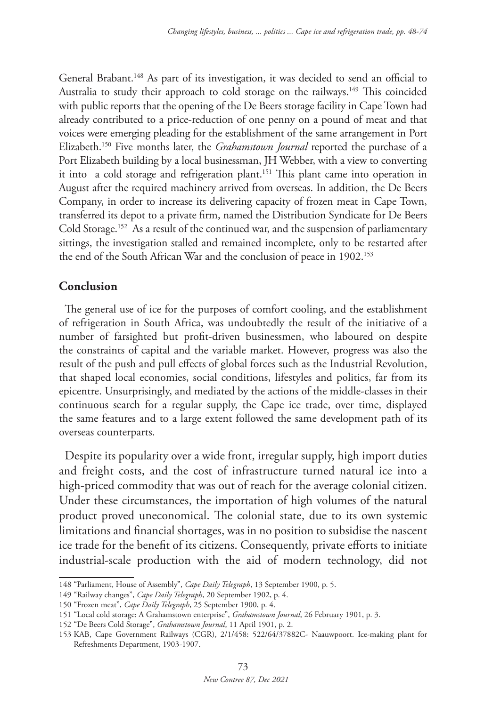General Brabant.148 As part of its investigation, it was decided to send an official to Australia to study their approach to cold storage on the railways.<sup>149</sup> This coincided with public reports that the opening of the De Beers storage facility in Cape Town had already contributed to a price-reduction of one penny on a pound of meat and that voices were emerging pleading for the establishment of the same arrangement in Port Elizabeth.150 Five months later, the *Grahamstown Journal* reported the purchase of a Port Elizabeth building by a local businessman, JH Webber, with a view to converting it into a cold storage and refrigeration plant.151 This plant came into operation in August after the required machinery arrived from overseas. In addition, the De Beers Company, in order to increase its delivering capacity of frozen meat in Cape Town, transferred its depot to a private firm, named the Distribution Syndicate for De Beers Cold Storage.152 As a result of the continued war, and the suspension of parliamentary sittings, the investigation stalled and remained incomplete, only to be restarted after the end of the South African War and the conclusion of peace in 1902.<sup>153</sup>

## **Conclusion**

The general use of ice for the purposes of comfort cooling, and the establishment of refrigeration in South Africa, was undoubtedly the result of the initiative of a number of farsighted but profit-driven businessmen, who laboured on despite the constraints of capital and the variable market. However, progress was also the result of the push and pull effects of global forces such as the Industrial Revolution, that shaped local economies, social conditions, lifestyles and politics, far from its epicentre. Unsurprisingly, and mediated by the actions of the middle-classes in their continuous search for a regular supply, the Cape ice trade, over time, displayed the same features and to a large extent followed the same development path of its overseas counterparts.

Despite its popularity over a wide front, irregular supply, high import duties and freight costs, and the cost of infrastructure turned natural ice into a high-priced commodity that was out of reach for the average colonial citizen. Under these circumstances, the importation of high volumes of the natural product proved uneconomical. The colonial state, due to its own systemic limitations and financial shortages, was in no position to subsidise the nascent ice trade for the benefit of its citizens. Consequently, private efforts to initiate industrial-scale production with the aid of modern technology, did not

<sup>148</sup> "Parliament, House of Assembly", *Cape Daily Telegraph*, 13 September 1900, p. 5.

<sup>149</sup> "Railway changes", *Cape Daily Telegraph*, 20 September 1902, p. 4.

<sup>150</sup> "Frozen meat", *Cape Daily Telegraph*, 25 September 1900, p. 4.

<sup>151</sup> "Local cold storage: A Grahamstown enterprise", *Grahamstown Journal*, 26 February 1901, p. 3.

<sup>152</sup> "De Beers Cold Storage", *Grahamstown Journal*, 11 April 1901, p. 2.

<sup>153</sup> KAB, Cape Government Railways (CGR), 2/1/458: 522/64/37882C- Naauwpoort. Ice-making plant for Refreshments Department, 1903-1907.